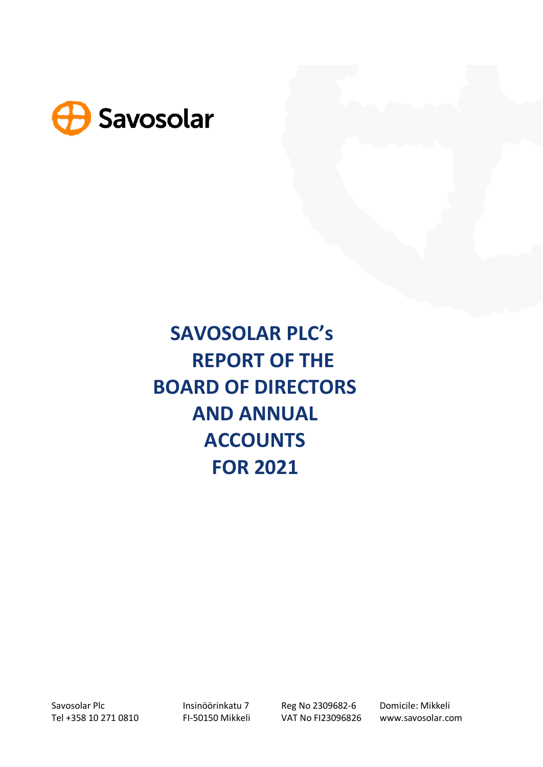

**SAVOSOLAR PLC's REPORT OF THE BOARD OF DIRECTORS AND ANNUAL ACCOUNTS FOR 2021**

Tel +358 10 271 0810 FI-50150 Mikkeli VAT No FI23096826 www.savosolar.com

Savosolar Plc **Insinöörinkatu 7** Reg No 2309682-6 Domicile: Mikkeli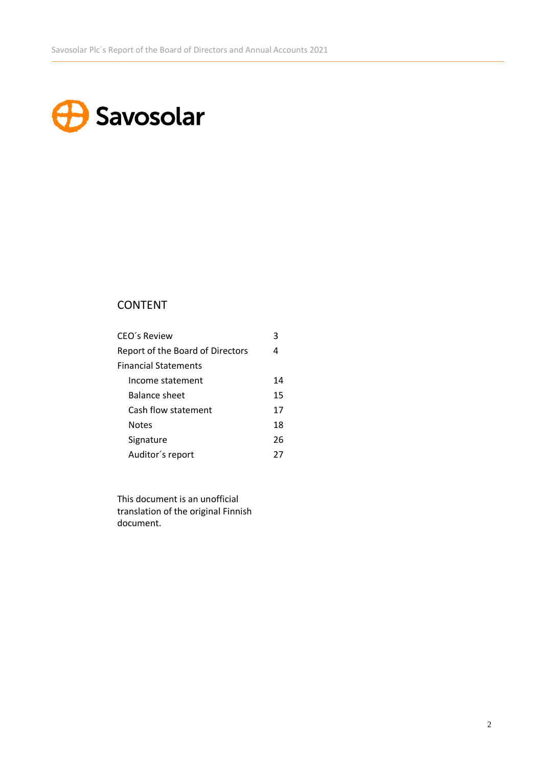# **B** Savosolar

# CONTENT

| CEO's Review                     | 3  |
|----------------------------------|----|
| Report of the Board of Directors | 4  |
| <b>Financial Statements</b>      |    |
| Income statement                 | 14 |
| <b>Balance sheet</b>             | 15 |
| Cash flow statement              | 17 |
| <b>Notes</b>                     | 18 |
| Signature                        | 26 |
| Auditor's report                 | 27 |

This document is an unofficial translation of the original Finnish document.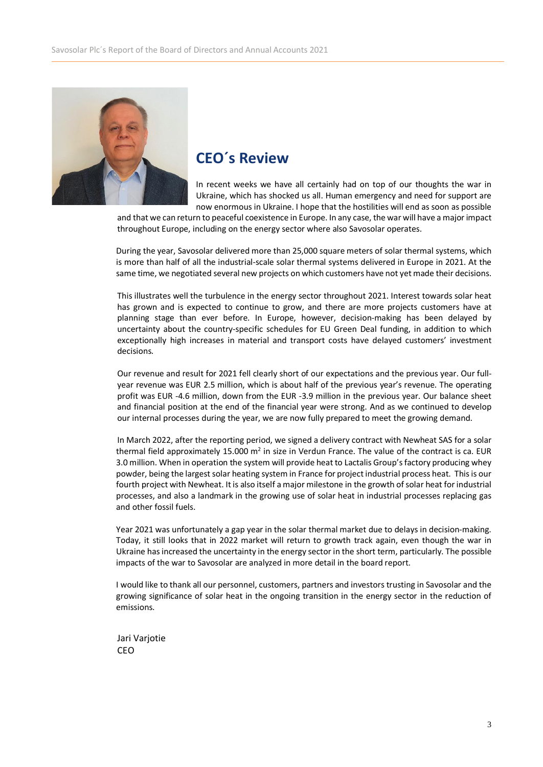

# **CEO´s Review**

In recent weeks we have all certainly had on top of our thoughts the war in Ukraine, which has shocked us all. Human emergency and need for support are now enormous in Ukraine. I hope that the hostilities will end as soon as possible

and that we can return to peaceful coexistence in Europe. In any case, the war will have a major impact throughout Europe, including on the energy sector where also Savosolar operates.

During the year, Savosolar delivered more than 25,000 square meters of solar thermal systems, which is more than half of all the industrial-scale solar thermal systems delivered in Europe in 2021. At the same time, we negotiated several new projects on which customers have not yet made their decisions.

This illustrates well the turbulence in the energy sector throughout 2021. Interest towards solar heat has grown and is expected to continue to grow, and there are more projects customers have at planning stage than ever before. In Europe, however, decision-making has been delayed by uncertainty about the country-specific schedules for EU Green Deal funding, in addition to which exceptionally high increases in material and transport costs have delayed customers' investment decisions.

Our revenue and result for 2021 fell clearly short of our expectations and the previous year. Our fullyear revenue was EUR 2.5 million, which is about half of the previous year's revenue. The operating profit was EUR -4.6 million, down from the EUR -3.9 million in the previous year. Our balance sheet and financial position at the end of the financial year were strong. And as we continued to develop our internal processes during the year, we are now fully prepared to meet the growing demand.

In March 2022, after the reporting period, we signed a delivery contract with Newheat SAS for a solar thermal field approximately 15.000 m<sup>2</sup> in size in Verdun France. The value of the contract is ca. EUR 3.0 million. When in operation the system will provide heat to Lactalis Group'sfactory producing whey powder, being the largest solar heating system in France for project industrial process heat. This is our fourth project with Newheat. It is also itself a major milestone in the growth of solar heat for industrial processes, and also a landmark in the growing use of solar heat in industrial processes replacing gas and other fossil fuels.

Year 2021 was unfortunately a gap year in the solar thermal market due to delays in decision-making. Today, it still looks that in 2022 market will return to growth track again, even though the war in Ukraine hasincreased the uncertainty in the energy sector in the short term, particularly. The possible impacts of the war to Savosolar are analyzed in more detail in the board report.

I would like to thank all our personnel, customers, partners and investors trusting in Savosolar and the growing significance of solar heat in the ongoing transition in the energy sector in the reduction of emissions.

Jari Varjotie CEO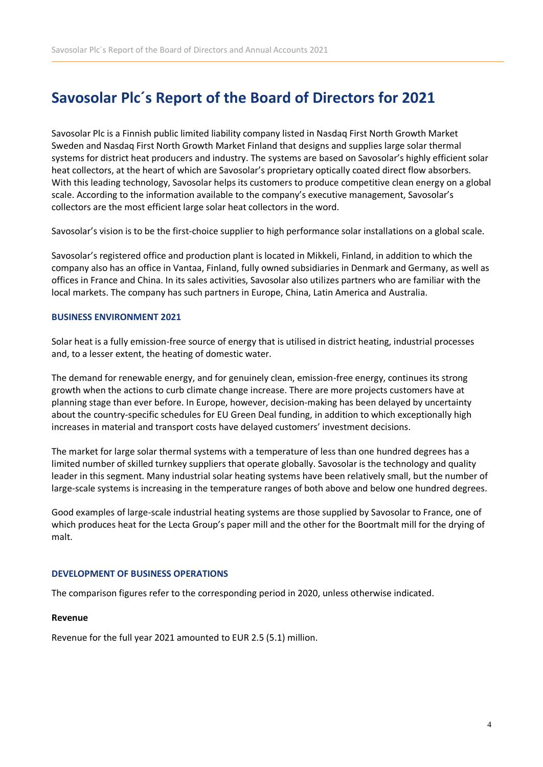# **Savosolar Plc´s Report of the Board of Directors for 2021**

Savosolar Plc is a Finnish public limited liability company listed in Nasdaq First North Growth Market Sweden and Nasdaq First North Growth Market Finland that designs and supplies large solar thermal systems for district heat producers and industry. The systems are based on Savosolar's highly efficient solar heat collectors, at the heart of which are Savosolar's proprietary optically coated direct flow absorbers. With this leading technology, Savosolar helps its customers to produce competitive clean energy on a global scale. According to the information available to the company's executive management, Savosolar's collectors are the most efficient large solar heat collectors in the word.

Savosolar's vision is to be the first-choice supplier to high performance solar installations on a global scale.

Savosolar's registered office and production plant is located in Mikkeli, Finland, in addition to which the company also has an office in Vantaa, Finland, fully owned subsidiaries in Denmark and Germany, as well as offices in France and China. In its sales activities, Savosolar also utilizes partners who are familiar with the local markets. The company has such partners in Europe, China, Latin America and Australia.

### **BUSINESS ENVIRONMENT 2021**

Solar heat is a fully emission-free source of energy that is utilised in district heating, industrial processes and, to a lesser extent, the heating of domestic water.

The demand for renewable energy, and for genuinely clean, emission-free energy, continues its strong growth when the actions to curb climate change increase. There are more projects customers have at planning stage than ever before. In Europe, however, decision-making has been delayed by uncertainty about the country-specific schedules for EU Green Deal funding, in addition to which exceptionally high increases in material and transport costs have delayed customers' investment decisions.

The market for large solar thermal systems with a temperature of less than one hundred degrees has a limited number of skilled turnkey suppliers that operate globally. Savosolar is the technology and quality leader in this segment. Many industrial solar heating systems have been relatively small, but the number of large-scale systems is increasing in the temperature ranges of both above and below one hundred degrees.

Good examples of large-scale industrial heating systems are those supplied by Savosolar to France, one of which produces heat for the Lecta Group's paper mill and the other for the Boortmalt mill for the drying of malt.

### **DEVELOPMENT OF BUSINESS OPERATIONS**

The comparison figures refer to the corresponding period in 2020, unless otherwise indicated.

### **Revenue**

Revenue for the full year 2021 amounted to EUR 2.5 (5.1) million.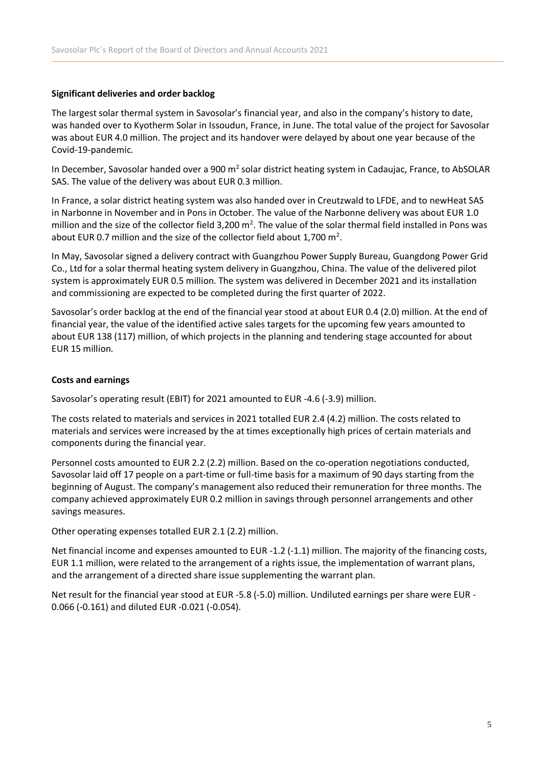### **Significant deliveries and order backlog**

The largest solar thermal system in Savosolar's financial year, and also in the company's history to date, was handed over to Kyotherm Solar in Issoudun, France, in June. The total value of the project for Savosolar was about EUR 4.0 million. The project and its handover were delayed by about one year because of the Covid-19-pandemic.

In December, Savosolar handed over a 900 m<sup>2</sup> solar district heating system in Cadaujac, France, to AbSOLAR SAS. The value of the delivery was about EUR 0.3 million.

In France, a solar district heating system was also handed over in Creutzwald to LFDE, and to newHeat SAS in Narbonne in November and in Pons in October. The value of the Narbonne delivery was about EUR 1.0 million and the size of the collector field 3,200  $m^2$ . The value of the solar thermal field installed in Pons was about EUR 0.7 million and the size of the collector field about 1,700  $m^2$ .

In May, Savosolar signed a delivery contract with Guangzhou Power Supply Bureau, Guangdong Power Grid Co., Ltd for a solar thermal heating system delivery in Guangzhou, China. The value of the delivered pilot system is approximately EUR 0.5 million. The system was delivered in December 2021 and its installation and commissioning are expected to be completed during the first quarter of 2022.

Savosolar's order backlog at the end of the financial year stood at about EUR 0.4 (2.0) million. At the end of financial year, the value of the identified active sales targets for the upcoming few years amounted to about EUR 138 (117) million, of which projects in the planning and tendering stage accounted for about EUR 15 million.

### **Costs and earnings**

Savosolar's operating result (EBIT) for 2021 amounted to EUR -4.6 (-3.9) million.

The costs related to materials and services in 2021 totalled EUR 2.4 (4.2) million. The costs related to materials and services were increased by the at times exceptionally high prices of certain materials and components during the financial year.

Personnel costs amounted to EUR 2.2 (2.2) million. Based on the co-operation negotiations conducted, Savosolar laid off 17 people on a part-time or full-time basis for a maximum of 90 days starting from the beginning of August. The company's management also reduced their remuneration for three months. The company achieved approximately EUR 0.2 million in savings through personnel arrangements and other savings measures.

Other operating expenses totalled EUR 2.1 (2.2) million.

Net financial income and expenses amounted to EUR -1.2 (-1.1) million. The majority of the financing costs, EUR 1.1 million, were related to the arrangement of a rights issue, the implementation of warrant plans, and the arrangement of a directed share issue supplementing the warrant plan.

Net result for the financial year stood at EUR -5.8 (-5.0) million. Undiluted earnings per share were EUR - 0.066 (-0.161) and diluted EUR -0.021 (-0.054).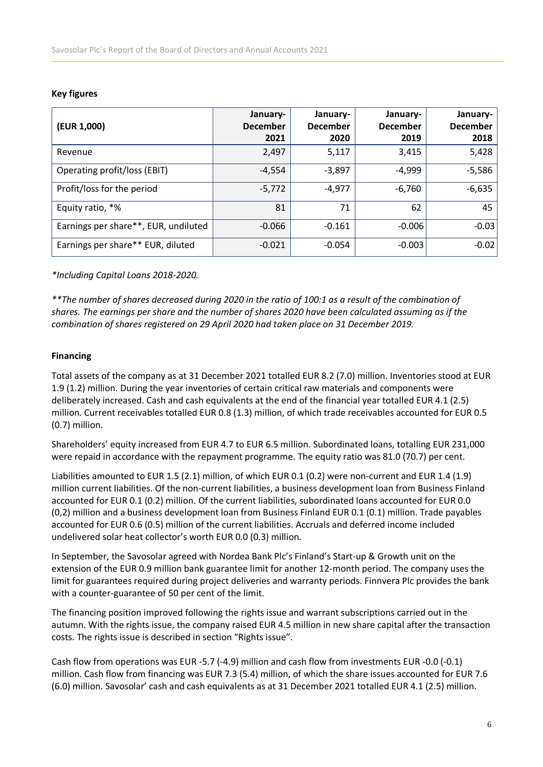| (EUR 1,000)                          | January-<br><b>December</b><br>2021 | January-<br><b>December</b><br>2020 | January-<br><b>December</b><br>2019 | January-<br><b>December</b><br>2018 |
|--------------------------------------|-------------------------------------|-------------------------------------|-------------------------------------|-------------------------------------|
| Revenue                              | 2,497                               | 5,117                               | 3,415                               | 5,428                               |
| Operating profit/loss (EBIT)         | $-4,554$                            | $-3,897$                            | $-4,999$                            | $-5,586$                            |
| Profit/loss for the period           | $-5,772$                            | $-4,977$                            | $-6,760$                            | $-6,635$                            |
| Equity ratio, *%                     | 81                                  | 71                                  | 62                                  | 45                                  |
| Earnings per share**, EUR, undiluted | $-0.066$                            | $-0.161$                            | $-0.006$                            | $-0.03$                             |
| Earnings per share** EUR, diluted    | $-0.021$                            | $-0.054$                            | $-0.003$                            | $-0.02$                             |

### **Key figures**

*\*Including Capital Loans 2018-2020.*

*\*\*The number of shares decreased during 2020 in the ratio of 100:1 as a result of the combination of shares. The earnings per share and the number of shares 2020 have been calculated assuming as if the combination of shares registered on 29 April 2020 had taken place on 31 December 2019.* 

### **Financing**

Total assets of the company as at 31 December 2021 totalled EUR 8.2 (7.0) million. Inventories stood at EUR 1.9 (1.2) million. During the year inventories of certain critical raw materials and components were deliberately increased. Cash and cash equivalents at the end of the financial year totalled EUR 4.1 (2.5) million. Current receivables totalled EUR 0.8 (1.3) million, of which trade receivables accounted for EUR 0.5 (0.7) million.

Shareholders' equity increased from EUR 4.7 to EUR 6.5 million. Subordinated loans, totalling EUR 231,000 were repaid in accordance with the repayment programme. The equity ratio was 81.0 (70.7) per cent.

Liabilities amounted to EUR 1.5 (2.1) million, of which EUR 0.1 (0.2) were non-current and EUR 1.4 (1.9) million current liabilities. Of the non-current liabilities, a business development loan from Business Finland accounted for EUR 0.1 (0.2) million. Of the current liabilities, subordinated loans accounted for EUR 0.0 (0,2) million and a business development loan from Business Finland EUR 0.1 (0.1) million. Trade payables accounted for EUR 0.6 (0.5) million of the current liabilities. Accruals and deferred income included undelivered solar heat collector's worth EUR 0.0 (0.3) million.

In September, the Savosolar agreed with Nordea Bank Plc's Finland's Start-up & Growth unit on the extension of the EUR 0.9 million bank guarantee limit for another 12-month period. The company uses the limit for guarantees required during project deliveries and warranty periods. Finnvera Plc provides the bank with a counter-guarantee of 50 per cent of the limit.

The financing position improved following the rights issue and warrant subscriptions carried out in the autumn. With the rights issue, the company raised EUR 4.5 million in new share capital after the transaction costs. The rights issue is described in section "Rights issue".

Cash flow from operations was EUR -5.7 (-4.9) million and cash flow from investments EUR -0.0 (-0.1) million. Cash flow from financing was EUR 7.3 (5.4) million, of which the share issues accounted for EUR 7.6 (6.0) million. Savosolar' cash and cash equivalents as at 31 December 2021 totalled EUR 4.1 (2.5) million.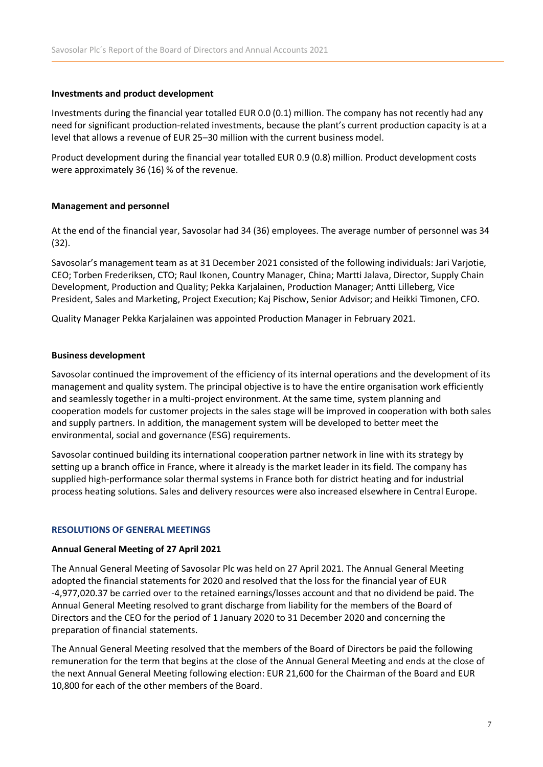### **Investments and product development**

Investments during the financial year totalled EUR 0.0 (0.1) million. The company has not recently had any need for significant production-related investments, because the plant's current production capacity is at a level that allows a revenue of EUR 25–30 million with the current business model.

Product development during the financial year totalled EUR 0.9 (0.8) million. Product development costs were approximately 36 (16) % of the revenue.

### **Management and personnel**

At the end of the financial year, Savosolar had 34 (36) employees. The average number of personnel was 34 (32).

Savosolar's management team as at 31 December 2021 consisted of the following individuals: Jari Varjotie, CEO; Torben Frederiksen, CTO; Raul Ikonen, Country Manager, China; Martti Jalava, Director, Supply Chain Development, Production and Quality; Pekka Karjalainen, Production Manager; Antti Lilleberg, Vice President, Sales and Marketing, Project Execution; Kaj Pischow, Senior Advisor; and Heikki Timonen, CFO.

Quality Manager Pekka Karjalainen was appointed Production Manager in February 2021.

### **Business development**

Savosolar continued the improvement of the efficiency of its internal operations and the development of its management and quality system. The principal objective is to have the entire organisation work efficiently and seamlessly together in a multi-project environment. At the same time, system planning and cooperation models for customer projects in the sales stage will be improved in cooperation with both sales and supply partners. In addition, the management system will be developed to better meet the environmental, social and governance (ESG) requirements.

Savosolar continued building its international cooperation partner network in line with its strategy by setting up a branch office in France, where it already is the market leader in its field. The company has supplied high-performance solar thermal systems in France both for district heating and for industrial process heating solutions. Sales and delivery resources were also increased elsewhere in Central Europe.

### **RESOLUTIONS OF GENERAL MEETINGS**

### **Annual General Meeting of 27 April 2021**

The Annual General Meeting of Savosolar Plc was held on 27 April 2021. The Annual General Meeting adopted the financial statements for 2020 and resolved that the loss for the financial year of EUR -4,977,020.37 be carried over to the retained earnings/losses account and that no dividend be paid. The Annual General Meeting resolved to grant discharge from liability for the members of the Board of Directors and the CEO for the period of 1 January 2020 to 31 December 2020 and concerning the preparation of financial statements.

The Annual General Meeting resolved that the members of the Board of Directors be paid the following remuneration for the term that begins at the close of the Annual General Meeting and ends at the close of the next Annual General Meeting following election: EUR 21,600 for the Chairman of the Board and EUR 10,800 for each of the other members of the Board.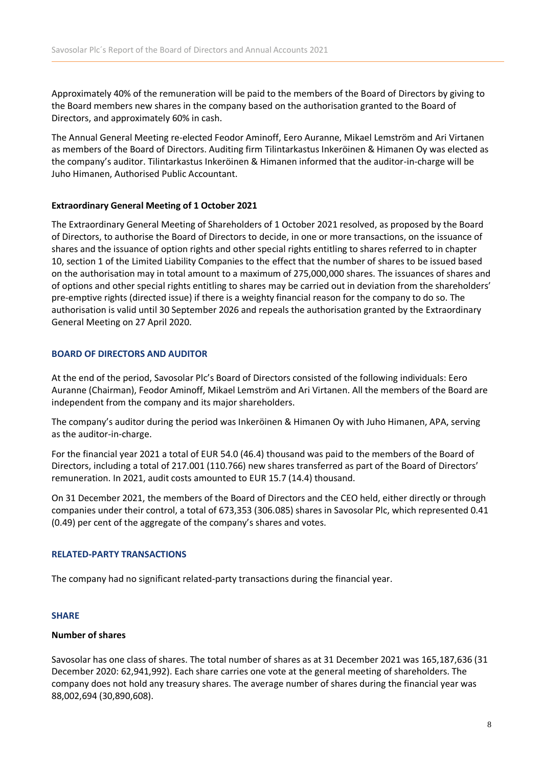Approximately 40% of the remuneration will be paid to the members of the Board of Directors by giving to the Board members new shares in the company based on the authorisation granted to the Board of Directors, and approximately 60% in cash.

The Annual General Meeting re-elected Feodor Aminoff, Eero Auranne, Mikael Lemström and Ari Virtanen as members of the Board of Directors. Auditing firm Tilintarkastus Inkeröinen & Himanen Oy was elected as the company's auditor. Tilintarkastus Inkeröinen & Himanen informed that the auditor-in-charge will be Juho Himanen, Authorised Public Accountant.

### **Extraordinary General Meeting of 1 October 2021**

The Extraordinary General Meeting of Shareholders of 1 October 2021 resolved, as proposed by the Board of Directors, to authorise the Board of Directors to decide, in one or more transactions, on the issuance of shares and the issuance of option rights and other special rights entitling to shares referred to in chapter 10, section 1 of the Limited Liability Companies to the effect that the number of shares to be issued based on the authorisation may in total amount to a maximum of 275,000,000 shares. The issuances of shares and of options and other special rights entitling to shares may be carried out in deviation from the shareholders' pre-emptive rights (directed issue) if there is a weighty financial reason for the company to do so. The authorisation is valid until 30 September 2026 and repeals the authorisation granted by the Extraordinary General Meeting on 27 April 2020.

### **BOARD OF DIRECTORS AND AUDITOR**

At the end of the period, Savosolar Plc's Board of Directors consisted of the following individuals: Eero Auranne (Chairman), Feodor Aminoff, Mikael Lemström and Ari Virtanen. All the members of the Board are independent from the company and its major shareholders.

The company's auditor during the period was Inkeröinen & Himanen Oy with Juho Himanen, APA, serving as the auditor-in-charge.

For the financial year 2021 a total of EUR 54.0 (46.4) thousand was paid to the members of the Board of Directors, including a total of 217.001 (110.766) new shares transferred as part of the Board of Directors' remuneration. In 2021, audit costs amounted to EUR 15.7 (14.4) thousand.

On 31 December 2021, the members of the Board of Directors and the CEO held, either directly or through companies under their control, a total of 673,353 (306.085) shares in Savosolar Plc, which represented 0.41 (0.49) per cent of the aggregate of the company's shares and votes.

### **RELATED-PARTY TRANSACTIONS**

The company had no significant related-party transactions during the financial year.

### **SHARE**

### **Number of shares**

Savosolar has one class of shares. The total number of shares as at 31 December 2021 was 165,187,636 (31 December 2020: 62,941,992). Each share carries one vote at the general meeting of shareholders. The company does not hold any treasury shares. The average number of shares during the financial year was 88,002,694 (30,890,608).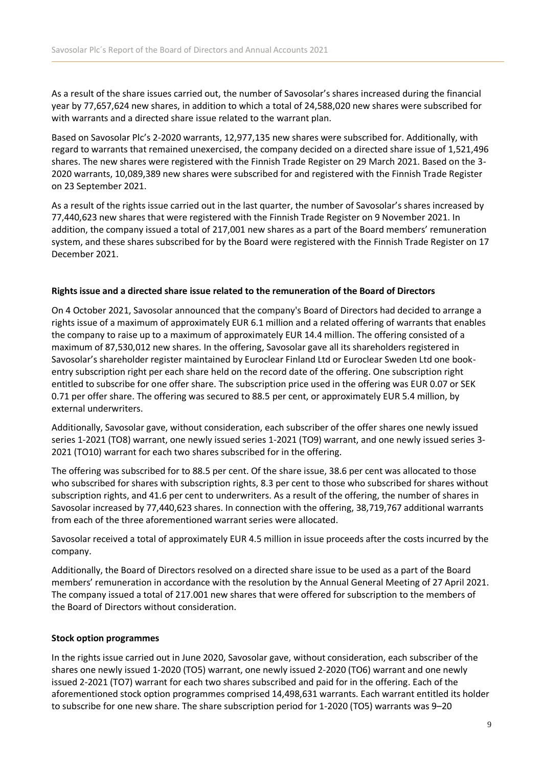As a result of the share issues carried out, the number of Savosolar's shares increased during the financial year by 77,657,624 new shares, in addition to which a total of 24,588,020 new shares were subscribed for with warrants and a directed share issue related to the warrant plan.

Based on Savosolar Plc's 2-2020 warrants, 12,977,135 new shares were subscribed for. Additionally, with regard to warrants that remained unexercised, the company decided on a directed share issue of 1,521,496 shares. The new shares were registered with the Finnish Trade Register on 29 March 2021. Based on the 3- 2020 warrants, 10,089,389 new shares were subscribed for and registered with the Finnish Trade Register on 23 September 2021.

As a result of the rights issue carried out in the last quarter, the number of Savosolar's shares increased by 77,440,623 new shares that were registered with the Finnish Trade Register on 9 November 2021. In addition, the company issued a total of 217,001 new shares as a part of the Board members' remuneration system, and these shares subscribed for by the Board were registered with the Finnish Trade Register on 17 December 2021.

### **Rights issue and a directed share issue related to the remuneration of the Board of Directors**

On 4 October 2021, Savosolar announced that the company's Board of Directors had decided to arrange a rights issue of a maximum of approximately EUR 6.1 million and a related offering of warrants that enables the company to raise up to a maximum of approximately EUR 14.4 million. The offering consisted of a maximum of 87,530,012 new shares. In the offering, Savosolar gave all its shareholders registered in Savosolar's shareholder register maintained by Euroclear Finland Ltd or Euroclear Sweden Ltd one bookentry subscription right per each share held on the record date of the offering. One subscription right entitled to subscribe for one offer share. The subscription price used in the offering was EUR 0.07 or SEK 0.71 per offer share. The offering was secured to 88.5 per cent, or approximately EUR 5.4 million, by external underwriters.

Additionally, Savosolar gave, without consideration, each subscriber of the offer shares one newly issued series 1-2021 (TO8) warrant, one newly issued series 1-2021 (TO9) warrant, and one newly issued series 3- 2021 (TO10) warrant for each two shares subscribed for in the offering.

The offering was subscribed for to 88.5 per cent. Of the share issue, 38.6 per cent was allocated to those who subscribed for shares with subscription rights, 8.3 per cent to those who subscribed for shares without subscription rights, and 41.6 per cent to underwriters. As a result of the offering, the number of shares in Savosolar increased by 77,440,623 shares. In connection with the offering, 38,719,767 additional warrants from each of the three aforementioned warrant series were allocated.

Savosolar received a total of approximately EUR 4.5 million in issue proceeds after the costs incurred by the company.

Additionally, the Board of Directors resolved on a directed share issue to be used as a part of the Board members' remuneration in accordance with the resolution by the Annual General Meeting of 27 April 2021. The company issued a total of 217.001 new shares that were offered for subscription to the members of the Board of Directors without consideration.

### **Stock option programmes**

In the rights issue carried out in June 2020, Savosolar gave, without consideration, each subscriber of the shares one newly issued 1-2020 (TO5) warrant, one newly issued 2-2020 (TO6) warrant and one newly issued 2-2021 (TO7) warrant for each two shares subscribed and paid for in the offering. Each of the aforementioned stock option programmes comprised 14,498,631 warrants. Each warrant entitled its holder to subscribe for one new share. The share subscription period for 1-2020 (TO5) warrants was 9–20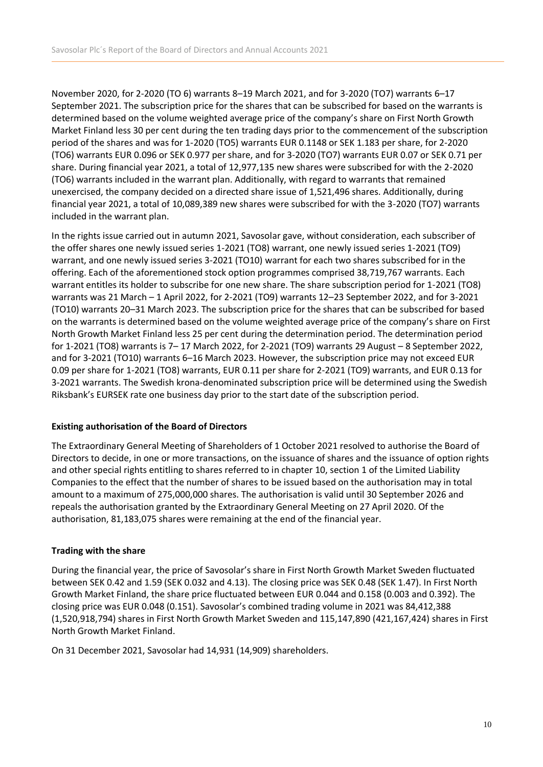November 2020, for 2-2020 (TO 6) warrants 8–19 March 2021, and for 3-2020 (TO7) warrants 6–17 September 2021. The subscription price for the shares that can be subscribed for based on the warrants is determined based on the volume weighted average price of the company's share on First North Growth Market Finland less 30 per cent during the ten trading days prior to the commencement of the subscription period of the shares and was for 1-2020 (TO5) warrants EUR 0.1148 or SEK 1.183 per share, for 2-2020 (TO6) warrants EUR 0.096 or SEK 0.977 per share, and for 3-2020 (TO7) warrants EUR 0.07 or SEK 0.71 per share. During financial year 2021, a total of 12,977,135 new shares were subscribed for with the 2-2020 (TO6) warrants included in the warrant plan. Additionally, with regard to warrants that remained unexercised, the company decided on a directed share issue of 1,521,496 shares. Additionally, during financial year 2021, a total of 10,089,389 new shares were subscribed for with the 3-2020 (TO7) warrants included in the warrant plan.

In the rights issue carried out in autumn 2021, Savosolar gave, without consideration, each subscriber of the offer shares one newly issued series 1-2021 (TO8) warrant, one newly issued series 1-2021 (TO9) warrant, and one newly issued series 3-2021 (TO10) warrant for each two shares subscribed for in the offering. Each of the aforementioned stock option programmes comprised 38,719,767 warrants. Each warrant entitles its holder to subscribe for one new share. The share subscription period for 1-2021 (TO8) warrants was 21 March – 1 April 2022, for 2-2021 (TO9) warrants 12–23 September 2022, and for 3-2021 (TO10) warrants 20–31 March 2023. The subscription price for the shares that can be subscribed for based on the warrants is determined based on the volume weighted average price of the company's share on First North Growth Market Finland less 25 per cent during the determination period. The determination period for 1-2021 (TO8) warrants is 7– 17 March 2022, for 2-2021 (TO9) warrants 29 August – 8 September 2022, and for 3-2021 (TO10) warrants 6–16 March 2023. However, the subscription price may not exceed EUR 0.09 per share for 1-2021 (TO8) warrants, EUR 0.11 per share for 2-2021 (TO9) warrants, and EUR 0.13 for 3-2021 warrants. The Swedish krona-denominated subscription price will be determined using the Swedish Riksbank's EURSEK rate one business day prior to the start date of the subscription period.

### **Existing authorisation of the Board of Directors**

The Extraordinary General Meeting of Shareholders of 1 October 2021 resolved to authorise the Board of Directors to decide, in one or more transactions, on the issuance of shares and the issuance of option rights and other special rights entitling to shares referred to in chapter 10, section 1 of the Limited Liability Companies to the effect that the number of shares to be issued based on the authorisation may in total amount to a maximum of 275,000,000 shares. The authorisation is valid until 30 September 2026 and repeals the authorisation granted by the Extraordinary General Meeting on 27 April 2020. Of the authorisation, 81,183,075 shares were remaining at the end of the financial year.

### **Trading with the share**

During the financial year, the price of Savosolar's share in First North Growth Market Sweden fluctuated between SEK 0.42 and 1.59 (SEK 0.032 and 4.13). The closing price was SEK 0.48 (SEK 1.47). In First North Growth Market Finland, the share price fluctuated between EUR 0.044 and 0.158 (0.003 and 0.392). The closing price was EUR 0.048 (0.151). Savosolar's combined trading volume in 2021 was 84,412,388 (1,520,918,794) shares in First North Growth Market Sweden and 115,147,890 (421,167,424) shares in First North Growth Market Finland.

On 31 December 2021, Savosolar had 14,931 (14,909) shareholders.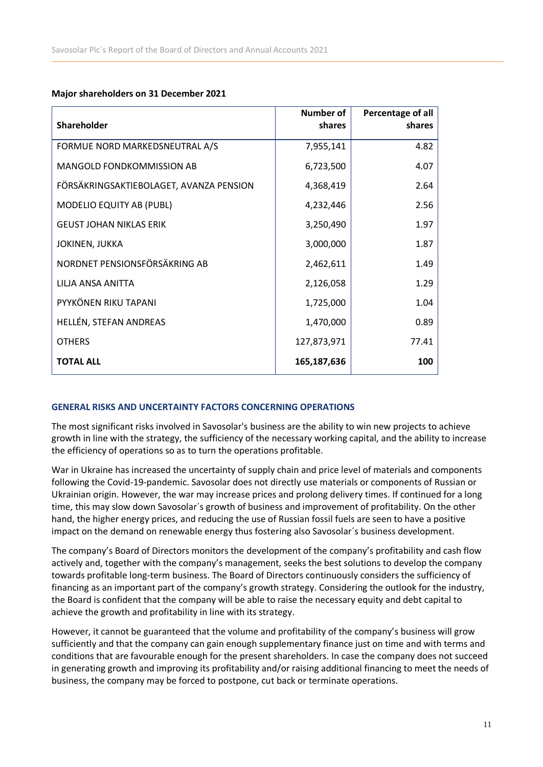### **Major shareholders on 31 December 2021**

| <b>Shareholder</b>                      | <b>Number of</b><br>shares | Percentage of all<br>shares |
|-----------------------------------------|----------------------------|-----------------------------|
| FORMUE NORD MARKEDSNEUTRAL A/S          | 7,955,141                  | 4.82                        |
| <b>MANGOLD FONDKOMMISSION AB</b>        | 6,723,500                  | 4.07                        |
| FÖRSÄKRINGSAKTIEBOLAGET, AVANZA PENSION | 4,368,419                  | 2.64                        |
| <b>MODELIO EQUITY AB (PUBL)</b>         | 4,232,446                  | 2.56                        |
| <b>GEUST JOHAN NIKLAS ERIK</b>          | 3,250,490                  | 1.97                        |
| JOKINEN, JUKKA                          | 3,000,000                  | 1.87                        |
| NORDNET PENSIONSFÖRSÄKRING AB           | 2,462,611                  | 1.49                        |
| LILJA ANSA ANITTA                       | 2,126,058                  | 1.29                        |
| PYYKÖNEN RIKU TAPANI                    | 1,725,000                  | 1.04                        |
| HELLÉN, STEFAN ANDREAS                  | 1,470,000                  | 0.89                        |
| <b>OTHERS</b>                           | 127,873,971                | 77.41                       |
| <b>TOTAL ALL</b>                        | 165,187,636                | 100                         |

### **GENERAL RISKS AND UNCERTAINTY FACTORS CONCERNING OPERATIONS**

The most significant risks involved in Savosolar's business are the ability to win new projects to achieve growth in line with the strategy, the sufficiency of the necessary working capital, and the ability to increase the efficiency of operations so as to turn the operations profitable.

War in Ukraine has increased the uncertainty of supply chain and price level of materials and components following the Covid-19-pandemic. Savosolar does not directly use materials or components of Russian or Ukrainian origin. However, the war may increase prices and prolong delivery times. If continued for a long time, this may slow down Savosolar´s growth of business and improvement of profitability. On the other hand, the higher energy prices, and reducing the use of Russian fossil fuels are seen to have a positive impact on the demand on renewable energy thus fostering also Savosolar´s business development.

The company's Board of Directors monitors the development of the company's profitability and cash flow actively and, together with the company's management, seeks the best solutions to develop the company towards profitable long-term business. The Board of Directors continuously considers the sufficiency of financing as an important part of the company's growth strategy. Considering the outlook for the industry, the Board is confident that the company will be able to raise the necessary equity and debt capital to achieve the growth and profitability in line with its strategy.

However, it cannot be guaranteed that the volume and profitability of the company's business will grow sufficiently and that the company can gain enough supplementary finance just on time and with terms and conditions that are favourable enough for the present shareholders. In case the company does not succeed in generating growth and improving its profitability and/or raising additional financing to meet the needs of business, the company may be forced to postpone, cut back or terminate operations.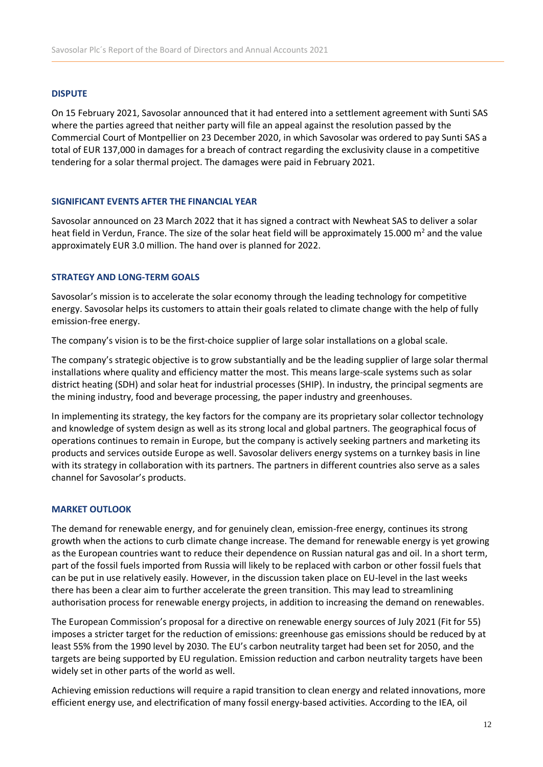### **DISPUTE**

On 15 February 2021, Savosolar announced that it had entered into a settlement agreement with Sunti SAS where the parties agreed that neither party will file an appeal against the resolution passed by the Commercial Court of Montpellier on 23 December 2020, in which Savosolar was ordered to pay Sunti SAS a total of EUR 137,000 in damages for a breach of contract regarding the exclusivity clause in a competitive tendering for a solar thermal project. The damages were paid in February 2021.

### **SIGNIFICANT EVENTS AFTER THE FINANCIAL YEAR**

Savosolar announced on 23 March 2022 that it has signed a contract with Newheat SAS to deliver a solar heat field in Verdun, France. The size of the solar heat field will be approximately 15.000 m<sup>2</sup> and the value approximately EUR 3.0 million. The hand over is planned for 2022.

### **STRATEGY AND LONG-TERM GOALS**

Savosolar's mission is to accelerate the solar economy through the leading technology for competitive energy. Savosolar helps its customers to attain their goals related to climate change with the help of fully emission-free energy.

The company's vision is to be the first-choice supplier of large solar installations on a global scale.

The company's strategic objective is to grow substantially and be the leading supplier of large solar thermal installations where quality and efficiency matter the most. This means large-scale systems such as solar district heating (SDH) and solar heat for industrial processes (SHIP). In industry, the principal segments are the mining industry, food and beverage processing, the paper industry and greenhouses.

In implementing its strategy, the key factors for the company are its proprietary solar collector technology and knowledge of system design as well as its strong local and global partners. The geographical focus of operations continues to remain in Europe, but the company is actively seeking partners and marketing its products and services outside Europe as well. Savosolar delivers energy systems on a turnkey basis in line with its strategy in collaboration with its partners. The partners in different countries also serve as a sales channel for Savosolar's products.

### **MARKET OUTLOOK**

The demand for renewable energy, and for genuinely clean, emission-free energy, continues its strong growth when the actions to curb climate change increase. The demand for renewable energy is yet growing as the European countries want to reduce their dependence on Russian natural gas and oil. In a short term, part of the fossil fuels imported from Russia will likely to be replaced with carbon or other fossil fuels that can be put in use relatively easily. However, in the discussion taken place on EU-level in the last weeks there has been a clear aim to further accelerate the green transition. This may lead to streamlining authorisation process for renewable energy projects, in addition to increasing the demand on renewables.

The European Commission's proposal for a directive on renewable energy sources of July 2021 (Fit for 55) imposes a stricter target for the reduction of emissions: greenhouse gas emissions should be reduced by at least 55% from the 1990 level by 2030. The EU's carbon neutrality target had been set for 2050, and the targets are being supported by EU regulation. Emission reduction and carbon neutrality targets have been widely set in other parts of the world as well.

Achieving emission reductions will require a rapid transition to clean energy and related innovations, more efficient energy use, and electrification of many fossil energy-based activities. According to the IEA, oil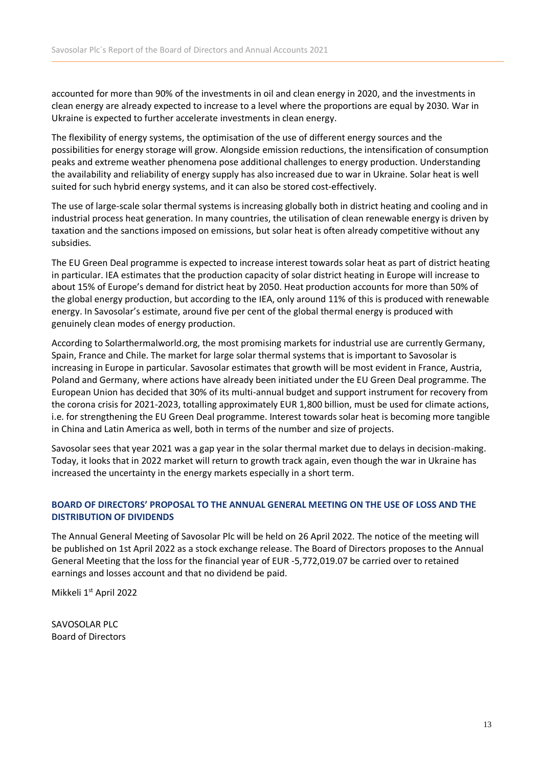accounted for more than 90% of the investments in oil and clean energy in 2020, and the investments in clean energy are already expected to increase to a level where the proportions are equal by 2030. War in Ukraine is expected to further accelerate investments in clean energy.

The flexibility of energy systems, the optimisation of the use of different energy sources and the possibilities for energy storage will grow. Alongside emission reductions, the intensification of consumption peaks and extreme weather phenomena pose additional challenges to energy production. Understanding the availability and reliability of energy supply has also increased due to war in Ukraine. Solar heat is well suited for such hybrid energy systems, and it can also be stored cost-effectively.

The use of large-scale solar thermal systems is increasing globally both in district heating and cooling and in industrial process heat generation. In many countries, the utilisation of clean renewable energy is driven by taxation and the sanctions imposed on emissions, but solar heat is often already competitive without any subsidies.

The EU Green Deal programme is expected to increase interest towards solar heat as part of district heating in particular. IEA estimates that the production capacity of solar district heating in Europe will increase to about 15% of Europe's demand for district heat by 2050. Heat production accounts for more than 50% of the global energy production, but according to the IEA, only around 11% of this is produced with renewable energy. In Savosolar's estimate, around five per cent of the global thermal energy is produced with genuinely clean modes of energy production.

According to Solarthermalworld.org, the most promising markets for industrial use are currently Germany, Spain, France and Chile. The market for large solar thermal systems that is important to Savosolar is increasing in Europe in particular. Savosolar estimates that growth will be most evident in France, Austria, Poland and Germany, where actions have already been initiated under the EU Green Deal programme. The European Union has decided that 30% of its multi-annual budget and support instrument for recovery from the corona crisis for 2021-2023, totalling approximately EUR 1,800 billion, must be used for climate actions, i.e. for strengthening the EU Green Deal programme. Interest towards solar heat is becoming more tangible in China and Latin America as well, both in terms of the number and size of projects.

Savosolar sees that year 2021 was a gap year in the solar thermal market due to delays in decision-making. Today, it looks that in 2022 market will return to growth track again, even though the war in Ukraine has increased the uncertainty in the energy markets especially in a short term.

### **BOARD OF DIRECTORS' PROPOSAL TO THE ANNUAL GENERAL MEETING ON THE USE OF LOSS AND THE DISTRIBUTION OF DIVIDENDS**

The Annual General Meeting of Savosolar Plc will be held on 26 April 2022. The notice of the meeting will be published on 1st April 2022 as a stock exchange release. The Board of Directors proposes to the Annual General Meeting that the loss for the financial year of EUR -5,772,019.07 be carried over to retained earnings and losses account and that no dividend be paid.

Mikkeli 1st April 2022

SAVOSOLAR PLC Board of Directors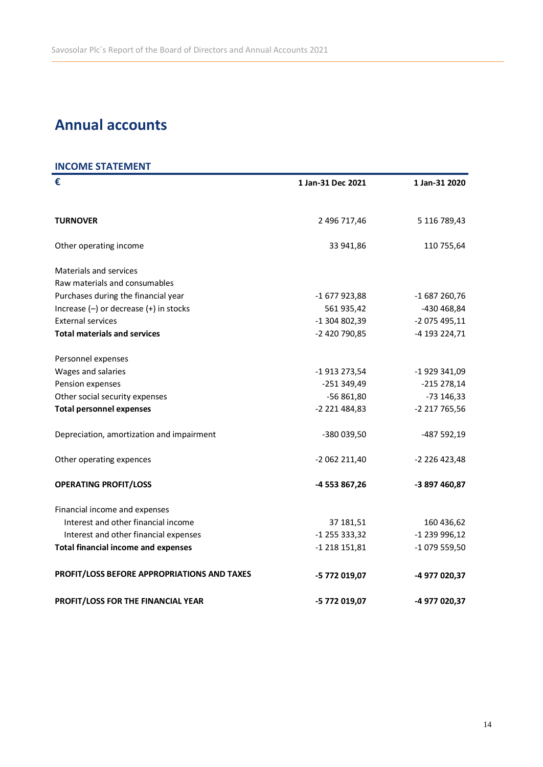# **Annual accounts**

# **INCOME STATEMENT**

| €                                           | 1 Jan-31 Dec 2021 | 1 Jan-31 2020 |
|---------------------------------------------|-------------------|---------------|
|                                             |                   |               |
| <b>TURNOVER</b>                             | 2 496 717,46      | 5 116 789,43  |
| Other operating income                      | 33 941,86         | 110 755,64    |
| <b>Materials and services</b>               |                   |               |
| Raw materials and consumables               |                   |               |
| Purchases during the financial year         | -1 677 923,88     | $-1687260,76$ |
| Increase $(-)$ or decrease $(+)$ in stocks  | 561 935,42        | -430 468,84   |
| <b>External services</b>                    | -1 304 802,39     | -2 075 495,11 |
| <b>Total materials and services</b>         | -2 420 790,85     | -4 193 224,71 |
| Personnel expenses                          |                   |               |
| Wages and salaries                          | -1 913 273,54     | -1 929 341,09 |
| Pension expenses                            | $-251349,49$      | $-215278,14$  |
| Other social security expenses              | -56 861,80        | -73 146,33    |
| <b>Total personnel expenses</b>             | -2 221 484,83     | -2 217 765,56 |
| Depreciation, amortization and impairment   | -380 039,50       | -487 592,19   |
| Other operating expences                    | -2 062 211,40     | -2 226 423,48 |
| <b>OPERATING PROFIT/LOSS</b>                | -4 553 867,26     | -3 897 460,87 |
| Financial income and expenses               |                   |               |
| Interest and other financial income         | 37 181,51         | 160 436,62    |
| Interest and other financial expenses       | $-1$ 255 333,32   | -1 239 996,12 |
| <b>Total financial income and expenses</b>  | $-1218151,81$     | -1 079 559,50 |
| PROFIT/LOSS BEFORE APPROPRIATIONS AND TAXES | -5 772 019,07     | -4 977 020,37 |
| PROFIT/LOSS FOR THE FINANCIAL YEAR          | -5 772 019,07     | -4 977 020,37 |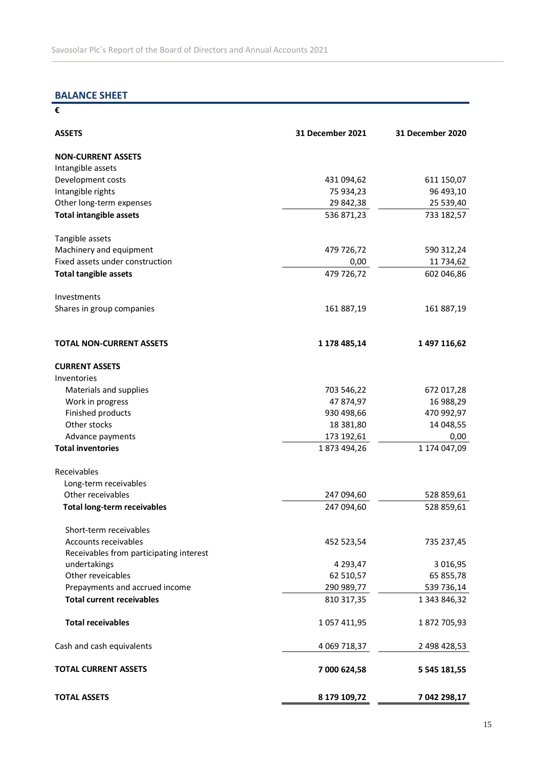# **BALANCE SHEET**

**€**

| <b>ASSETS</b>                           | 31 December 2021 | 31 December 2020 |
|-----------------------------------------|------------------|------------------|
| <b>NON-CURRENT ASSETS</b>               |                  |                  |
| Intangible assets                       |                  |                  |
| Development costs                       | 431 094,62       | 611 150,07       |
| Intangible rights                       | 75 934,23        | 96 493,10        |
| Other long-term expenses                | 29 842,38        | 25 539,40        |
| <b>Total intangible assets</b>          | 536 871,23       | 733 182,57       |
| Tangible assets                         |                  |                  |
| Machinery and equipment                 | 479 726,72       | 590 312,24       |
| Fixed assets under construction         | 0,00             | 11 734,62        |
| <b>Total tangible assets</b>            | 479 726,72       | 602 046,86       |
| Investments                             |                  |                  |
| Shares in group companies               | 161 887,19       | 161 887,19       |
| <b>TOTAL NON-CURRENT ASSETS</b>         | 1 178 485,14     | 1 497 116,62     |
| <b>CURRENT ASSETS</b>                   |                  |                  |
| Inventories                             |                  |                  |
| Materials and supplies                  | 703 546,22       | 672 017,28       |
| Work in progress                        | 47 874,97        | 16 988,29        |
| Finished products                       | 930 498,66       | 470 992,97       |
| Other stocks                            | 18 381,80        | 14 048,55        |
| Advance payments                        | 173 192,61       | 0,00             |
| <b>Total inventories</b>                | 1873 494,26      | 1 174 047,09     |
| Receivables                             |                  |                  |
| Long-term receivables                   |                  |                  |
| Other receivables                       | 247 094,60       | 528 859,61       |
| <b>Total long-term receivables</b>      | 247 094,60       | 528 859,61       |
| Short-term receivables                  |                  |                  |
| Accounts receivables                    | 452 523,54       | 735 237,45       |
| Receivables from participating interest |                  |                  |
| undertakings                            | 4 293,47         | 3 016,95         |
| Other reveicables                       | 62 510,57        | 65 855,78        |
| Prepayments and accrued income          | 290 989,77       | 539 736,14       |
| <b>Total current receivables</b>        | 810 317,35       | 1 343 846,32     |
| <b>Total receivables</b>                | 1 057 411,95     | 1872 705,93      |
| Cash and cash equivalents               | 4 069 718,37     | 2 498 428,53     |
| <b>TOTAL CURRENT ASSETS</b>             | 7 000 624,58     | 5 545 181,55     |
| <b>TOTAL ASSETS</b>                     | 8 179 109,72     | 7 042 298,17     |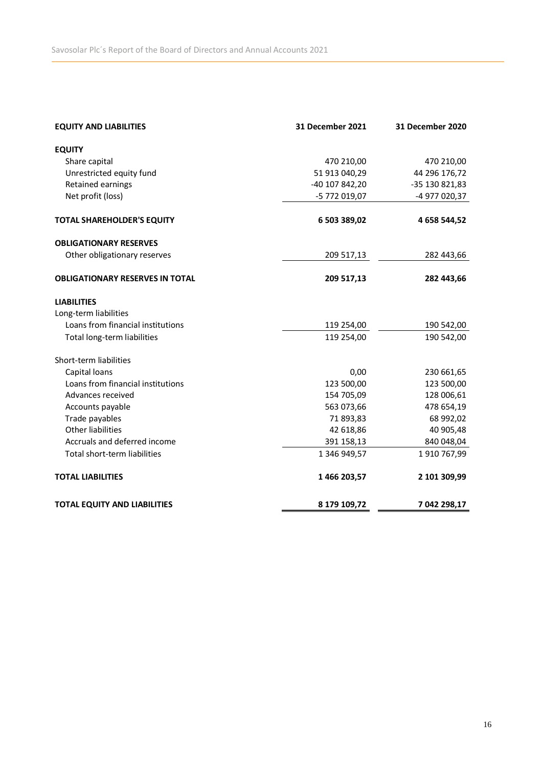| <b>EQUITY AND LIABILITIES</b>          | 31 December 2021 | 31 December 2020 |
|----------------------------------------|------------------|------------------|
| <b>EQUITY</b>                          |                  |                  |
| Share capital                          | 470 210,00       | 470 210,00       |
| Unrestricted equity fund               | 51 913 040,29    | 44 296 176,72    |
| Retained earnings                      | -40 107 842,20   | -35 130 821,83   |
| Net profit (loss)                      | -5 772 019,07    | -4 977 020,37    |
| <b>TOTAL SHAREHOLDER'S EQUITY</b>      | 6 503 389,02     | 4 658 544,52     |
| <b>OBLIGATIONARY RESERVES</b>          |                  |                  |
| Other obligationary reserves           | 209 517,13       | 282 443,66       |
| <b>OBLIGATIONARY RESERVES IN TOTAL</b> | 209 517,13       | 282 443,66       |
| <b>LIABILITIES</b>                     |                  |                  |
| Long-term liabilities                  |                  |                  |
| Loans from financial institutions      | 119 254,00       | 190 542,00       |
| Total long-term liabilities            | 119 254,00       | 190 542,00       |
| Short-term liabilities                 |                  |                  |
| Capital loans                          | 0,00             | 230 661,65       |
| Loans from financial institutions      | 123 500,00       | 123 500,00       |
| Advances received                      | 154 705,09       | 128 006,61       |
| Accounts payable                       | 563 073,66       | 478 654,19       |
| Trade payables                         | 71 893,83        | 68 992,02        |
| <b>Other liabilities</b>               | 42 618,86        | 40 905,48        |
| Accruals and deferred income           | 391 158,13       | 840 048,04       |
| Total short-term liabilities           | 1 346 949,57     | 1 910 767,99     |
| <b>TOTAL LIABILITIES</b>               | 1466 203,57      | 2 101 309,99     |
| <b>TOTAL EQUITY AND LIABILITIES</b>    | 8 179 109,72     | 7 042 298,17     |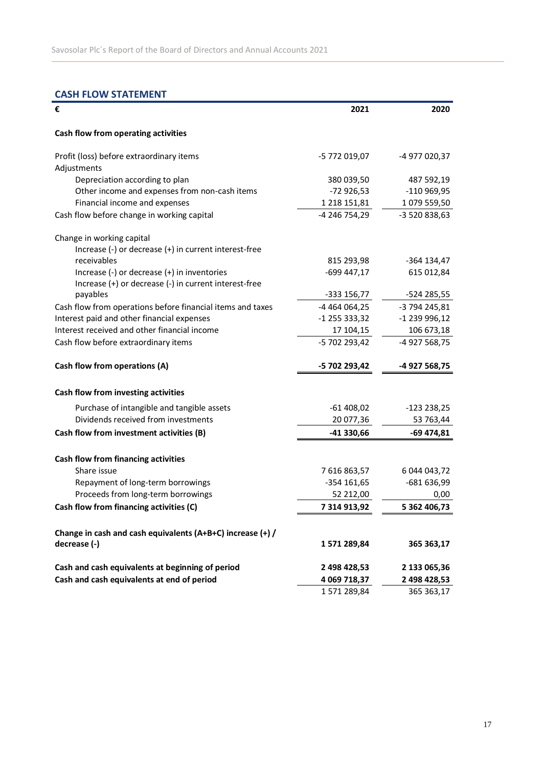# **CASH FLOW STATEMENT**

| €                                                          | 2021          | 2020          |
|------------------------------------------------------------|---------------|---------------|
| Cash flow from operating activities                        |               |               |
| Profit (loss) before extraordinary items                   | -5 772 019,07 | -4 977 020,37 |
| Adjustments                                                |               |               |
| Depreciation according to plan                             | 380 039,50    | 487 592,19    |
| Other income and expenses from non-cash items              | $-72926,53$   | -110 969,95   |
| Financial income and expenses                              | 1 218 151,81  | 1 079 559,50  |
| Cash flow before change in working capital                 | -4 246 754,29 | -3 520 838,63 |
| Change in working capital                                  |               |               |
| Increase (-) or decrease (+) in current interest-free      |               |               |
| receivables                                                | 815 293,98    | -364 134,47   |
| Increase (-) or decrease (+) in inventories                | -699 447,17   | 615 012,84    |
| Increase (+) or decrease (-) in current interest-free      |               |               |
| payables                                                   | -333 156,77   | -524 285,55   |
| Cash flow from operations before financial items and taxes | -4 464 064,25 | -3 794 245,81 |
| Interest paid and other financial expenses                 | -1 255 333,32 | -1 239 996,12 |
| Interest received and other financial income               | 17 104,15     | 106 673,18    |
| Cash flow before extraordinary items                       | -5 702 293,42 | -4 927 568,75 |
| Cash flow from operations (A)                              | -5 702 293,42 | -4 927 568,75 |
| Cash flow from investing activities                        |               |               |
| Purchase of intangible and tangible assets                 | $-61408,02$   | $-123238,25$  |
| Dividends received from investments                        | 20 077,36     | 53 763,44     |
| Cash flow from investment activities (B)                   | -41 330,66    | -69 474,81    |
|                                                            |               |               |
| Cash flow from financing activities<br>Share issue         |               |               |
|                                                            | 7616863,57    | 6 044 043,72  |
| Repayment of long-term borrowings                          | $-354$ 161,65 | -681 636,99   |
| Proceeds from long-term borrowings                         | 52 212,00     | 0,00          |
| Cash flow from financing activities (C)                    | 7 314 913.92  | 5 362 406.73  |
| Change in cash and cash equivalents (A+B+C) increase (+) / |               |               |
| decrease (-)                                               | 1571289,84    | 365 363,17    |
| Cash and cash equivalents at beginning of period           | 2 498 428,53  | 2 133 065,36  |
| Cash and cash equivalents at end of period                 | 4 069 718,37  | 2 498 428,53  |
|                                                            | 1571289,84    | 365 363,17    |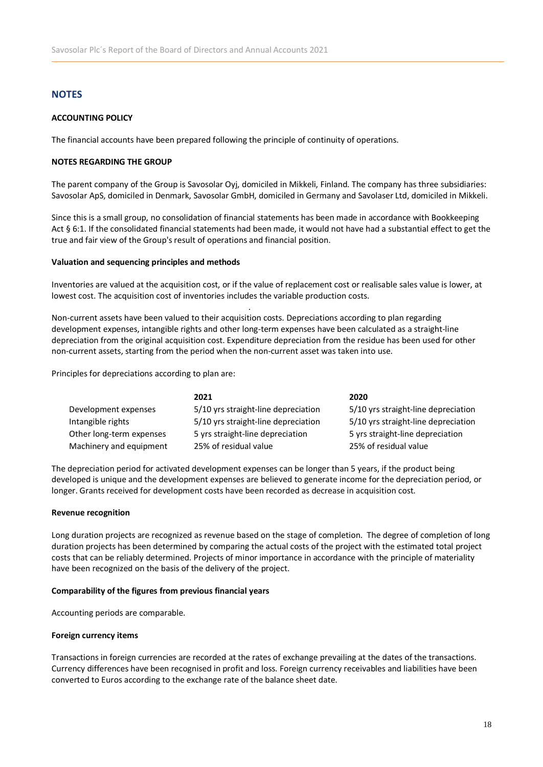### **NOTES**

### **ACCOUNTING POLICY**

The financial accounts have been prepared following the principle of continuity of operations.

### **NOTES REGARDING THE GROUP**

The parent company of the Group is Savosolar Oyj, domiciled in Mikkeli, Finland. The company has three subsidiaries: Savosolar ApS, domiciled in Denmark, Savosolar GmbH, domiciled in Germany and Savolaser Ltd, domiciled in Mikkeli.

Since this is a small group, no consolidation of financial statements has been made in accordance with Bookkeeping Act § 6:1. If the consolidated financial statements had been made, it would not have had a substantial effect to get the true and fair view of the Group's result of operations and financial position.

#### **Valuation and sequencing principles and methods**

Inventories are valued at the acquisition cost, or if the value of replacement cost or realisable sales value is lower, at lowest cost. The acquisition cost of inventories includes the variable production costs.

Non-current assets have been valued to their acquisition costs. Depreciations according to plan regarding development expenses, intangible rights and other long-term expenses have been calculated as a straight-line depreciation from the original acquisition cost. Expenditure depreciation from the residue has been used for other non-current assets, starting from the period when the non-current asset was taken into use.

.

Principles for depreciations according to plan are:

|                          | 2021                                | 2020                                |
|--------------------------|-------------------------------------|-------------------------------------|
| Development expenses     | 5/10 yrs straight-line depreciation | 5/10 yrs straight-line depreciation |
| Intangible rights        | 5/10 yrs straight-line depreciation | 5/10 yrs straight-line depreciation |
| Other long-term expenses | 5 yrs straight-line depreciation    | 5 yrs straight-line depreciation    |
| Machinery and equipment  | 25% of residual value               | 25% of residual value               |

The depreciation period for activated development expenses can be longer than 5 years, if the product being developed is unique and the development expenses are believed to generate income for the depreciation period, or longer. Grants received for development costs have been recorded as decrease in acquisition cost.

#### **Revenue recognition**

Long duration projects are recognized as revenue based on the stage of completion. The degree of completion of long duration projects has been determined by comparing the actual costs of the project with the estimated total project costs that can be reliably determined. Projects of minor importance in accordance with the principle of materiality have been recognized on the basis of the delivery of the project.

#### **Comparability of the figures from previous financial years**

Accounting periods are comparable.

#### **Foreign currency items**

Transactions in foreign currencies are recorded at the rates of exchange prevailing at the dates of the transactions. Currency differences have been recognised in profit and loss. Foreign currency receivables and liabilities have been converted to Euros according to the exchange rate of the balance sheet date.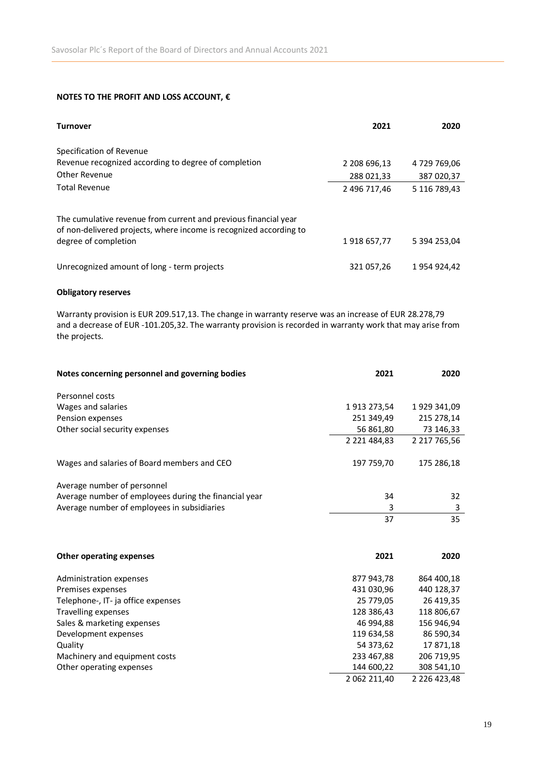### **NOTES TO THE PROFIT AND LOSS ACCOUNT, €**

| <b>Turnover</b>                                                                                                                                               | 2021         | 2020         |
|---------------------------------------------------------------------------------------------------------------------------------------------------------------|--------------|--------------|
| Specification of Revenue                                                                                                                                      |              |              |
| Revenue recognized according to degree of completion                                                                                                          | 2 208 696,13 | 4 729 769,06 |
| Other Revenue                                                                                                                                                 | 288 021,33   | 387 020,37   |
| <b>Total Revenue</b>                                                                                                                                          | 2 496 717,46 | 5 116 789,43 |
| The cumulative revenue from current and previous financial year<br>of non-delivered projects, where income is recognized according to<br>degree of completion | 1918 657,77  | 5 394 253,04 |
| Unrecognized amount of long - term projects                                                                                                                   | 321 057,26   | 1 954 924,42 |

### **Obligatory reserves**

Warranty provision is EUR 209.517,13. The change in warranty reserve was an increase of EUR 28.278,79 and a decrease of EUR -101.205,32. The warranty provision is recorded in warranty work that may arise from the projects.

| Notes concerning personnel and governing bodies       | 2021                | 2020                |
|-------------------------------------------------------|---------------------|---------------------|
| Personnel costs                                       |                     |                     |
| Wages and salaries                                    | 1913 273,54         | 1 929 341,09        |
| Pension expenses                                      | 251 349,49          | 215 278,14          |
| Other social security expenses                        | 56 861,80           | 73 146,33           |
|                                                       | 2 2 2 1 4 8 4 , 8 3 | 2 217 765,56        |
| Wages and salaries of Board members and CEO           | 197 759,70          | 175 286,18          |
| Average number of personnel                           |                     |                     |
| Average number of employees during the financial year | 34                  | 32                  |
| Average number of employees in subsidiaries           | 3                   | 3                   |
|                                                       | 37                  | 35                  |
|                                                       |                     |                     |
| Other operating expenses                              | 2021                | 2020                |
| Administration expenses                               | 877 943,78          | 864 400,18          |
| Premises expenses                                     | 431 030,96          | 440 128,37          |
| Telephone-, IT- ja office expenses                    | 25 779,05           | 26 419,35           |
| <b>Travelling expenses</b>                            | 128 386,43          | 118 806,67          |
| Sales & marketing expenses                            | 46 994,88           | 156 946,94          |
| Development expenses                                  | 119 634,58          | 86 590,34           |
| Quality                                               | 54 373,62           | 17871,18            |
| Machinery and equipment costs                         | 233 467,88          | 206 719,95          |
| Other operating expenses                              | 144 600,22          | 308 541,10          |
|                                                       | 2 062 211,40        | 2 2 2 6 4 2 3 , 4 8 |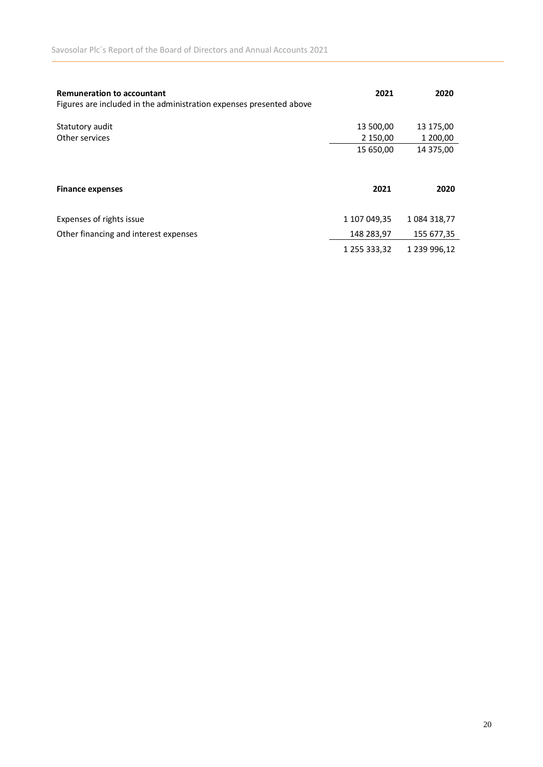| <b>Remuneration to accountant</b><br>Figures are included in the administration expenses presented above | 2021                  | 2020                  |
|----------------------------------------------------------------------------------------------------------|-----------------------|-----------------------|
| Statutory audit<br>Other services                                                                        | 13 500,00<br>2 150,00 | 13 175,00<br>1 200,00 |
|                                                                                                          | 15 650,00             | 14 375,00             |
| <b>Finance expenses</b>                                                                                  | 2021                  | 2020                  |
| Expenses of rights issue                                                                                 | 1 107 049,35          | 1 084 318,77          |
| Other financing and interest expenses                                                                    | 148 283,97            | 155 677,35            |
|                                                                                                          | 1 255 333,32          | 1 239 996,12          |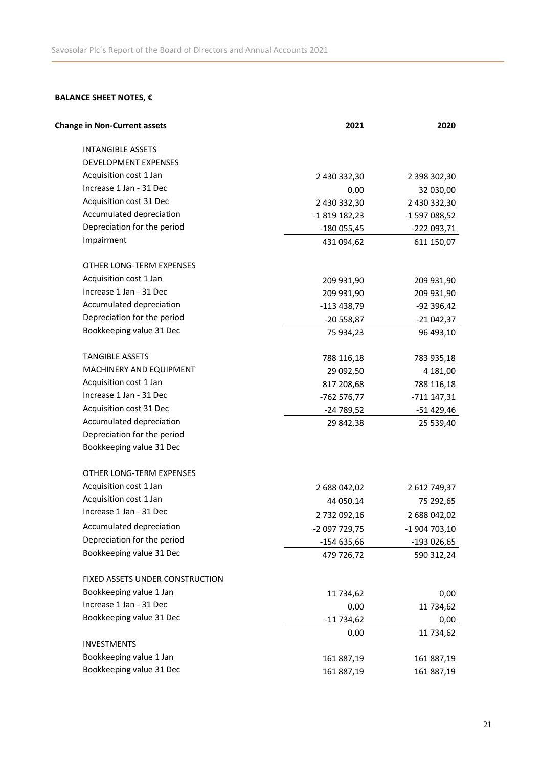# **BALANCE SHEET NOTES, €**

| <b>Change in Non-Current assets</b> | 2021          | 2020          |
|-------------------------------------|---------------|---------------|
| <b>INTANGIBLE ASSETS</b>            |               |               |
| DEVELOPMENT EXPENSES                |               |               |
| Acquisition cost 1 Jan              | 2 430 332,30  | 2 398 302,30  |
| Increase 1 Jan - 31 Dec             | 0,00          | 32 030,00     |
| Acquisition cost 31 Dec             | 2 430 332,30  | 2 430 332,30  |
| Accumulated depreciation            | -1819 182,23  | -1 597 088,52 |
| Depreciation for the period         | $-180055,45$  | -222 093,71   |
| Impairment                          | 431 094,62    | 611 150,07    |
| OTHER LONG-TERM EXPENSES            |               |               |
| Acquisition cost 1 Jan              | 209 931,90    | 209 931,90    |
| Increase 1 Jan - 31 Dec             | 209 931,90    | 209 931,90    |
| Accumulated depreciation            | $-113438,79$  | -92 396,42    |
| Depreciation for the period         | -20 558,87    | $-21042,37$   |
| Bookkeeping value 31 Dec            | 75 934,23     | 96 493,10     |
| <b>TANGIBLE ASSETS</b>              | 788 116,18    | 783 935,18    |
| MACHINERY AND EQUIPMENT             | 29 092,50     | 4 181,00      |
| Acquisition cost 1 Jan              | 817 208,68    | 788 116,18    |
| Increase 1 Jan - 31 Dec             | -762 576,77   | $-711147,31$  |
| Acquisition cost 31 Dec             | -24 789,52    | -51 429,46    |
| Accumulated depreciation            | 29 842,38     | 25 539,40     |
| Depreciation for the period         |               |               |
| Bookkeeping value 31 Dec            |               |               |
| OTHER LONG-TERM EXPENSES            |               |               |
| Acquisition cost 1 Jan              | 2 688 042,02  | 2 612 749,37  |
| Acquisition cost 1 Jan              | 44 050,14     | 75 292,65     |
| Increase 1 Jan - 31 Dec             | 2 732 092,16  | 2 688 042,02  |
| Accumulated depreciation            | -2 097 729,75 | -1 904 703,10 |
| Depreciation for the period         | $-154635,66$  | -193 026,65   |
| Bookkeeping value 31 Dec            | 479 726,72    | 590 312,24    |
| FIXED ASSETS UNDER CONSTRUCTION     |               |               |
| Bookkeeping value 1 Jan             | 11 734,62     | 0,00          |
| Increase 1 Jan - 31 Dec             | 0,00          | 11 734,62     |
| Bookkeeping value 31 Dec            | $-11734,62$   | 0,00          |
|                                     | 0,00          | 11 734,62     |
| <b>INVESTMENTS</b>                  |               |               |
| Bookkeeping value 1 Jan             | 161 887,19    | 161 887,19    |
| Bookkeeping value 31 Dec            | 161 887,19    | 161 887,19    |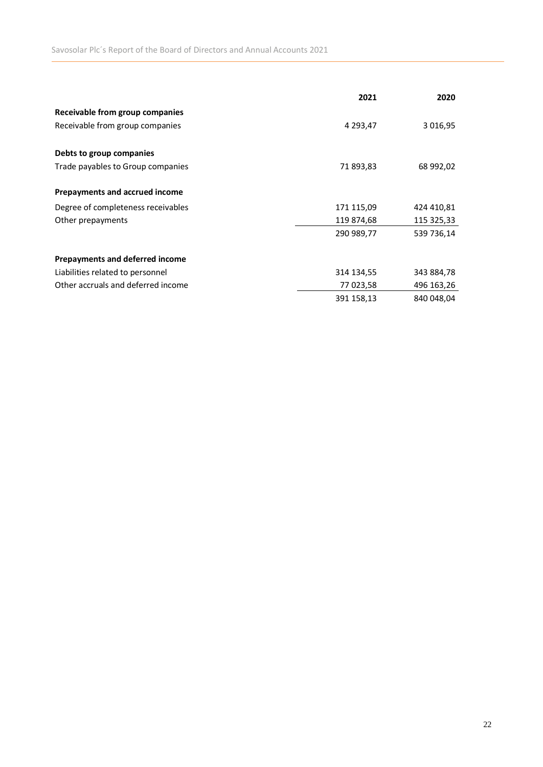|                                    | 2021       | 2020       |
|------------------------------------|------------|------------|
| Receivable from group companies    |            |            |
| Receivable from group companies    | 4 293,47   | 3 016,95   |
| Debts to group companies           |            |            |
| Trade payables to Group companies  | 71 893,83  | 68 992,02  |
| Prepayments and accrued income     |            |            |
| Degree of completeness receivables | 171 115,09 | 424 410,81 |
| Other prepayments                  | 119 874,68 | 115 325,33 |
|                                    | 290 989,77 | 539 736,14 |
| Prepayments and deferred income    |            |            |
| Liabilities related to personnel   | 314 134,55 | 343 884,78 |
| Other accruals and deferred income | 77 023,58  | 496 163,26 |
|                                    | 391 158,13 | 840 048,04 |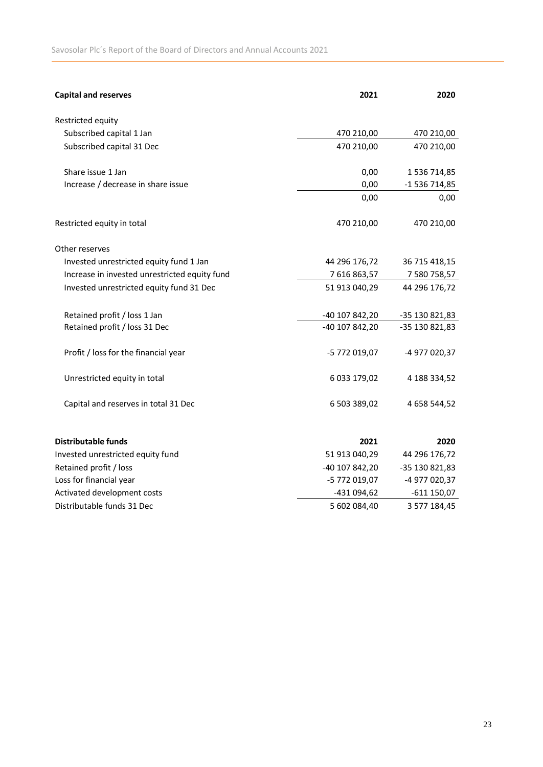| <b>Capital and reserves</b>                   | 2021           | 2020           |
|-----------------------------------------------|----------------|----------------|
| Restricted equity                             |                |                |
| Subscribed capital 1 Jan                      | 470 210,00     | 470 210,00     |
| Subscribed capital 31 Dec                     | 470 210,00     | 470 210,00     |
| Share issue 1 Jan                             | 0,00           | 1 536 714,85   |
| Increase / decrease in share issue            | 0,00           | -1 536 714,85  |
|                                               | 0,00           | 0,00           |
| Restricted equity in total                    | 470 210,00     | 470 210,00     |
| Other reserves                                |                |                |
| Invested unrestricted equity fund 1 Jan       | 44 296 176,72  | 36 715 418,15  |
| Increase in invested unrestricted equity fund | 7616863,57     | 7 580 758,57   |
| Invested unrestricted equity fund 31 Dec      | 51 913 040,29  | 44 296 176,72  |
| Retained profit / loss 1 Jan                  | -40 107 842,20 | -35 130 821,83 |
| Retained profit / loss 31 Dec                 | -40 107 842,20 | -35 130 821,83 |
| Profit / loss for the financial year          | -5 772 019,07  | -4 977 020,37  |
| Unrestricted equity in total                  | 6 033 179,02   | 4 188 334,52   |
| Capital and reserves in total 31 Dec          | 6 503 389,02   | 4 658 544,52   |
| <b>Distributable funds</b>                    | 2021           | 2020           |
| Invested unrestricted equity fund             | 51 913 040,29  | 44 296 176,72  |
| Retained profit / loss                        | -40 107 842,20 | -35 130 821,83 |
| Loss for financial year                       | -5 772 019,07  | -4 977 020,37  |
| Activated development costs                   | -431 094,62    | -611 150,07    |
| Distributable funds 31 Dec                    | 5 602 084,40   | 3 577 184,45   |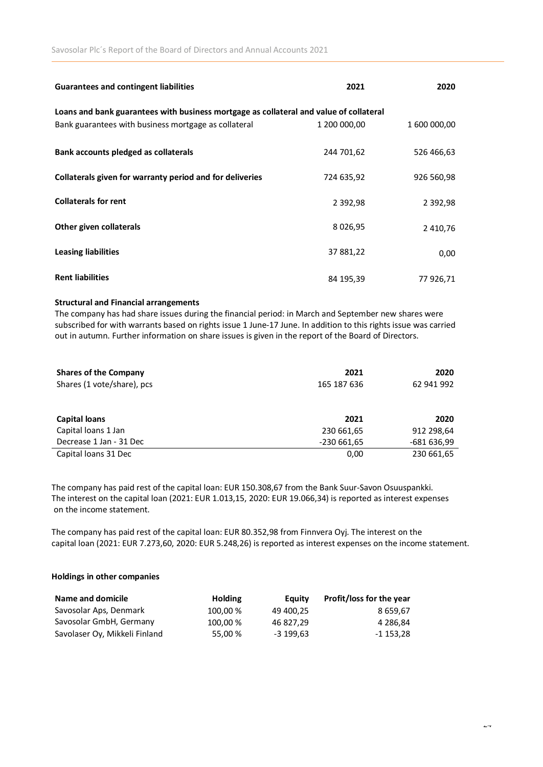| <b>Guarantees and contingent liabilities</b>                                           | 2021          | 2020          |  |  |  |
|----------------------------------------------------------------------------------------|---------------|---------------|--|--|--|
| Loans and bank guarantees with business mortgage as collateral and value of collateral |               |               |  |  |  |
| Bank guarantees with business mortgage as collateral                                   | 1 200 000,00  | 1 600 000,00  |  |  |  |
| Bank accounts pledged as collaterals                                                   | 244 701,62    | 526 466,63    |  |  |  |
| Collaterals given for warranty period and for deliveries                               | 724 635,92    | 926 560,98    |  |  |  |
| <b>Collaterals for rent</b>                                                            | 2 3 9 2 , 9 8 | 2 3 9 2 , 9 8 |  |  |  |
| Other given collaterals                                                                | 8 0 2 6 , 9 5 | 2 410,76      |  |  |  |
| Leasing liabilities                                                                    | 37 881,22     | 0,00          |  |  |  |
| <b>Rent liabilities</b>                                                                | 84 195,39     | 77 926,71     |  |  |  |

#### **Structural and Financial arrangements**

The company has had share issues during the financial period: in March and September new shares were subscribed for with warrants based on rights issue 1 June-17 June. In addition to this rights issue was carried out in autumn. Further information on share issues is given in the report of the Board of Directors.

| <b>Shares of the Company</b><br>Shares (1 vote/share), pcs | 2021<br>165 187 636 | 2020<br>62 941 992 |
|------------------------------------------------------------|---------------------|--------------------|
| <b>Capital loans</b>                                       | 2021                | 2020               |
| Capital loans 1 Jan                                        | 230 661,65          | 912 298,64         |
| Decrease 1 Jan - 31 Dec                                    | $-230661,65$        | -681 636,99        |
| Capital loans 31 Dec                                       | 0,00                | 230 661,65         |

The company has paid rest of the capital loan: EUR 150.308,67 from the Bank Suur-Savon Osuuspankki. The interest on the capital loan (2021: EUR 1.013,15, 2020: EUR 19.066,34) is reported as interest expenses on the income statement.

The company has paid rest of the capital loan: EUR 80.352,98 from Finnvera Oyj. The interest on the capital loan (2021: EUR 7.273,60, 2020: EUR 5.248,26) is reported as interest expenses on the income statement.

### **Holdings in other companies**

| Name and domicile             | <b>Holding</b> | Eauity    | Profit/loss for the year |
|-------------------------------|----------------|-----------|--------------------------|
| Savosolar Aps, Denmark        | 100.00 %       | 49 400.25 | 8 659.67                 |
| Savosolar GmbH, Germany       | 100.00%        | 46 827.29 | 4 286.84                 |
| Savolaser Oy, Mikkeli Finland | 55.00 %        | -3 199,63 | -1 153,28                |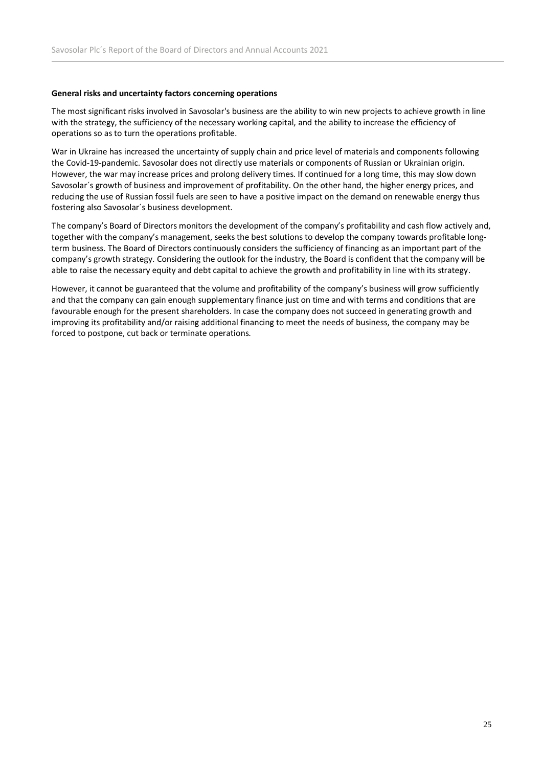### **General risks and uncertainty factors concerning operations**

The most significant risks involved in Savosolar's business are the ability to win new projects to achieve growth in line with the strategy, the sufficiency of the necessary working capital, and the ability to increase the efficiency of operations so as to turn the operations profitable.

War in Ukraine has increased the uncertainty of supply chain and price level of materials and components following the Covid-19-pandemic. Savosolar does not directly use materials or components of Russian or Ukrainian origin. However, the war may increase prices and prolong delivery times. If continued for a long time, this may slow down Savosolar´s growth of business and improvement of profitability. On the other hand, the higher energy prices, and reducing the use of Russian fossil fuels are seen to have a positive impact on the demand on renewable energy thus fostering also Savosolar´s business development.

The company's Board of Directors monitors the development of the company's profitability and cash flow actively and, together with the company's management, seeks the best solutions to develop the company towards profitable longterm business. The Board of Directors continuously considers the sufficiency of financing as an important part of the company's growth strategy. Considering the outlook for the industry, the Board is confident that the company will be able to raise the necessary equity and debt capital to achieve the growth and profitability in line with its strategy.

However, it cannot be guaranteed that the volume and profitability of the company's business will grow sufficiently and that the company can gain enough supplementary finance just on time and with terms and conditions that are favourable enough for the present shareholders. In case the company does not succeed in generating growth and improving its profitability and/or raising additional financing to meet the needs of business, the company may be forced to postpone, cut back or terminate operations.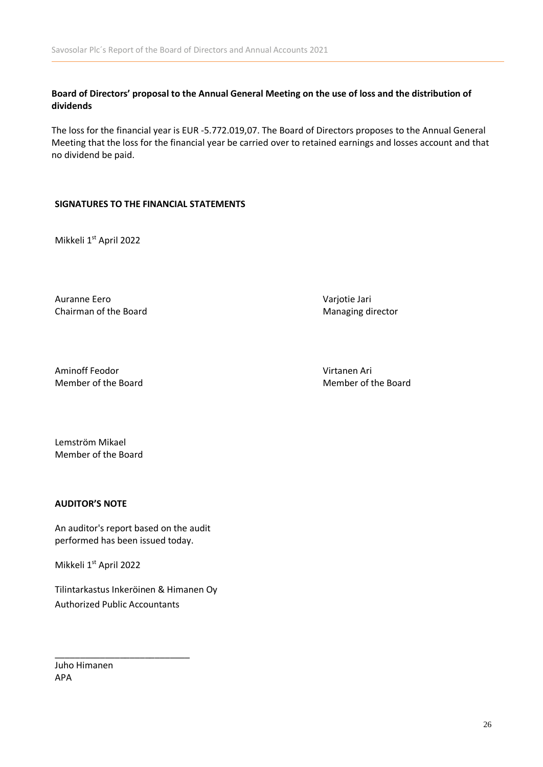Board of Directors' proposal to the Annual General Meeting on the use of loss and the distribution of **dividends**

The loss for the financial year is EUR -5.772.019,07. The Board of Directors proposes to the Annual General Meeting that the loss for the financial year be carried over to retained earnings and losses account and that no dividend be paid.

### **SIGNATURES TO THE FINANCIAL STATEMENTS**

Mikkeli 1<sup>st</sup> April 2022

Auranne Eero Varjotie Jari Chairman of the Board **Managing director** Managing director

Aminoff Feodor Virtanen Ari Member of the Board **Member of the Board** Member of the Board

Lemström Mikael Member of the Board

### **AUDITOR'S NOTE**

An auditor's report based on the audit performed has been issued today.

Mikkeli 1<sup>st</sup> April 2022

Tilintarkastus Inkeröinen & Himanen Oy Authorized Public Accountants

\_\_\_\_\_\_\_\_\_\_\_\_\_\_\_\_\_\_\_\_\_\_\_\_\_\_\_

Juho Himanen APA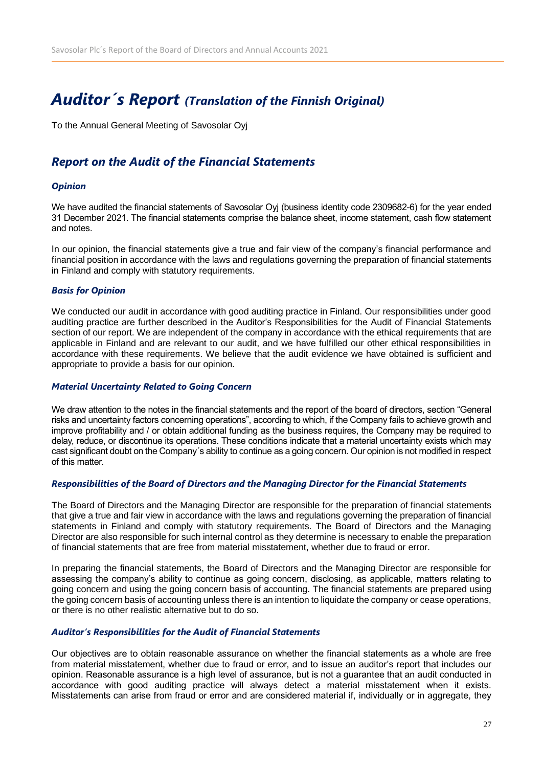# *Auditor´s Report (Translation of the Finnish Original)*

To the Annual General Meeting of Savosolar Oyj

# *Report on the Audit of the Financial Statements*

### *Opinion*

We have audited the financial statements of Savosolar Oyj (business identity code 2309682-6) for the year ended 31 December 2021. The financial statements comprise the balance sheet, income statement, cash flow statement and notes.

In our opinion, the financial statements give a true and fair view of the company's financial performance and financial position in accordance with the laws and regulations governing the preparation of financial statements in Finland and comply with statutory requirements.

### *Basis for Opinion*

We conducted our audit in accordance with good auditing practice in Finland. Our responsibilities under good auditing practice are further described in the Auditor's Responsibilities for the Audit of Financial Statements section of our report. We are independent of the company in accordance with the ethical requirements that are applicable in Finland and are relevant to our audit, and we have fulfilled our other ethical responsibilities in accordance with these requirements. We believe that the audit evidence we have obtained is sufficient and appropriate to provide a basis for our opinion.

### *Material Uncertainty Related to Going Concern*

We draw attention to the notes in the financial statements and the report of the board of directors, section "General risks and uncertainty factors concerning operations", according to which, if the Company fails to achieve growth and improve profitability and / or obtain additional funding as the business requires, the Company may be required to delay, reduce, or discontinue its operations. These conditions indicate that a material uncertainty exists which may cast significant doubt on the Company´s ability to continue as a going concern. Our opinion is not modified in respect of this matter.

### *Responsibilities of the Board of Directors and the Managing Director for the Financial Statements*

The Board of Directors and the Managing Director are responsible for the preparation of financial statements that give a true and fair view in accordance with the laws and regulations governing the preparation of financial statements in Finland and comply with statutory requirements. The Board of Directors and the Managing Director are also responsible for such internal control as they determine is necessary to enable the preparation of financial statements that are free from material misstatement, whether due to fraud or error.

In preparing the financial statements, the Board of Directors and the Managing Director are responsible for assessing the company's ability to continue as going concern, disclosing, as applicable, matters relating to going concern and using the going concern basis of accounting. The financial statements are prepared using the going concern basis of accounting unless there is an intention to liquidate the company or cease operations, or there is no other realistic alternative but to do so.

### *Auditor's Responsibilities for the Audit of Financial Statements*

Our objectives are to obtain reasonable assurance on whether the financial statements as a whole are free from material misstatement, whether due to fraud or error, and to issue an auditor's report that includes our opinion. Reasonable assurance is a high level of assurance, but is not a guarantee that an audit conducted in accordance with good auditing practice will always detect a material misstatement when it exists. Misstatements can arise from fraud or error and are considered material if, individually or in aggregate, they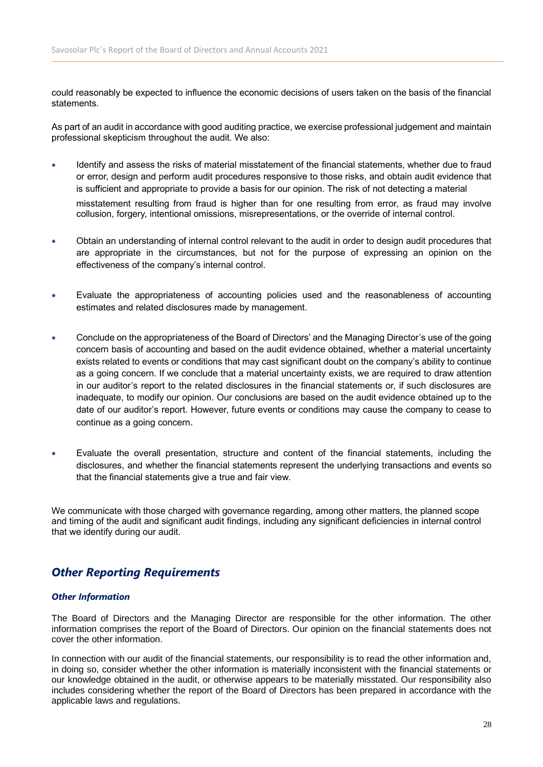could reasonably be expected to influence the economic decisions of users taken on the basis of the financial statements.

As part of an audit in accordance with good auditing practice, we exercise professional judgement and maintain professional skepticism throughout the audit. We also:

• Identify and assess the risks of material misstatement of the financial statements, whether due to fraud or error, design and perform audit procedures responsive to those risks, and obtain audit evidence that is sufficient and appropriate to provide a basis for our opinion. The risk of not detecting a material

misstatement resulting from fraud is higher than for one resulting from error, as fraud may involve collusion, forgery, intentional omissions, misrepresentations, or the override of internal control.

- Obtain an understanding of internal control relevant to the audit in order to design audit procedures that are appropriate in the circumstances, but not for the purpose of expressing an opinion on the effectiveness of the company's internal control.
- Evaluate the appropriateness of accounting policies used and the reasonableness of accounting estimates and related disclosures made by management.
- Conclude on the appropriateness of the Board of Directors' and the Managing Director's use of the going concern basis of accounting and based on the audit evidence obtained, whether a material uncertainty exists related to events or conditions that may cast significant doubt on the company's ability to continue as a going concern. If we conclude that a material uncertainty exists, we are required to draw attention in our auditor's report to the related disclosures in the financial statements or, if such disclosures are inadequate, to modify our opinion. Our conclusions are based on the audit evidence obtained up to the date of our auditor's report. However, future events or conditions may cause the company to cease to continue as a going concern.
- Evaluate the overall presentation, structure and content of the financial statements, including the disclosures, and whether the financial statements represent the underlying transactions and events so that the financial statements give a true and fair view.

We communicate with those charged with governance regarding, among other matters, the planned scope and timing of the audit and significant audit findings, including any significant deficiencies in internal control that we identify during our audit.

## *Other Reporting Requirements*

### *Other Information*

The Board of Directors and the Managing Director are responsible for the other information. The other information comprises the report of the Board of Directors. Our opinion on the financial statements does not cover the other information.

In connection with our audit of the financial statements, our responsibility is to read the other information and, in doing so, consider whether the other information is materially inconsistent with the financial statements or our knowledge obtained in the audit, or otherwise appears to be materially misstated. Our responsibility also includes considering whether the report of the Board of Directors has been prepared in accordance with the applicable laws and regulations.